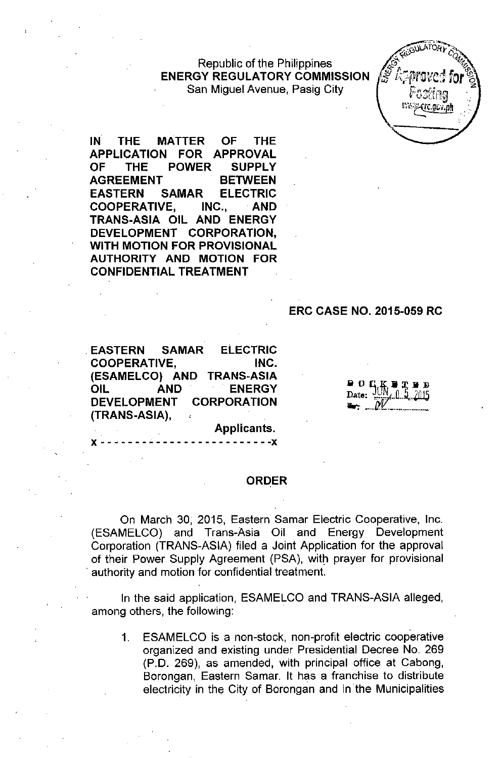#### Republic of the Philippines **ENERGY REGULATORY COMMISSION** San Miguel Avenue, Pasig City



**IN THE MATTER OF THE APPLICATION FOR APPROVAL OF THE POWER SUPPLY AGREEMENT BETWEEN EASTERN SAMAR ELECTRIC COOPERATIVE, INC., AND TRANS-ASIA OIL AND ENERGY DEVELOPMENT CORPORATION, WITH MOTION FOR PROVISIONAL AUTHORITY AND MOTION FOR CONFIDENTIAL TREATMENT**

#### **ERC CASE NO. 2015-059 RC**

**ELECTRIC EASTERN SAMAR COOPERATIVE.** INC. (ESAMELCO) AND TRANS-ASIA **OIL AND ENERGY DEVELOPMENT CORPORATION** (TRANS-ASIA).

Applicants.

#### **ORDER**

On March 30, 2015, Eastern Samar Electric Cooperative, Inc. (ESAMELCO) and Trans-Asia Oil and Energy Development Corporation (TRANS-ASIA) filed a Joint Application for the approval of their Power Supply Agreement (PSA), with prayer for provisional . authority and motion for confidential treatment.

In the said application, ESAMELCO and TRANS-ASIA alleged, among others, the following:

1. ESAMELCO is a non-stock, non-profit electric cooperative organized and existing under Presidential Decree No. 269 (P.D. 269), as amended, with principal office at Cabong, Borongan, Eastern Samar. It has a franchise to distribute electricity in the City of Borongan and in the Municipalities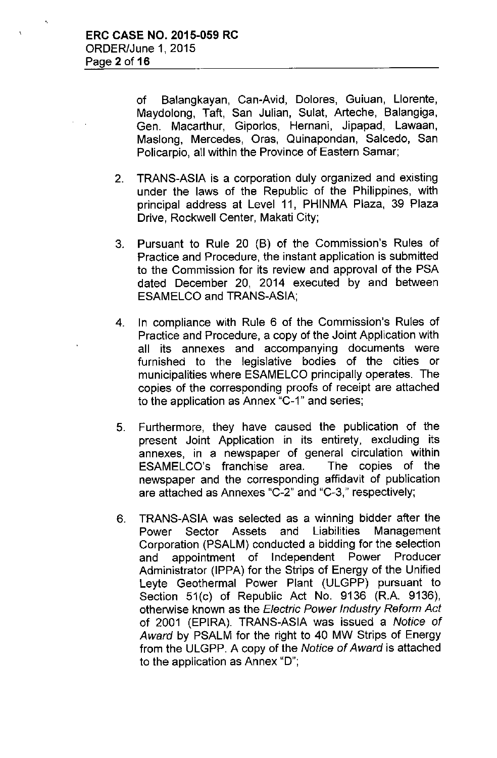of Balangkayan, Can-Avid, Dolores, Guiuan, Llorente, Maydolong, Taft, San Julian, Sulat, Arteche, Balangiga, Gen. Macarthur, Giporlos, Hernani, Jipapad, Lawaan, Maslong, Mercedes, Oras, Quinapondan, Salcedo, San Policarpio, all within the Province of Eastern Samar;

- 2. TRANS-ASIA is a corporation duly organized and existing under the laws of the Republic of the Philippines, with principal address at Level 11, PHINMA Plaza, 39 Plaza Drive, Rockwell Center, Makati City;
- 3. Pursuant to Rule 20 (B) of the Commission's Rules of Practice and Procedure, the instant application is submitted to the Commission for its review and approval of the PSA dated December 20, 2014 executed by and between ESAMELCO and TRANS-ASIA;
- 4. In compliance with Rule 6 of the Commission's Rules of Practice and Procedure, a copy of the Joint Application with all its annexes and accompanying documents were furnished to the legislative bodies of the cities or municipalities where ESAMELCO principally operates. The copies of the corresponding proofs of receipt are attached to the application as Annex "C-1" and series;
- 5. Furthermore, they have caused the publication of the present Joint Application in its entirety, excluding its annexes, in a newspaper of general circulation within ESAMELCO's franchise area. The copies of the newspaper and the corresponding affidavit of publication are attached as Annexes "C-2" and "C-3," respectively;
- 6. TRANS-ASIA was selected as a winning bidder after the Power Sector Assets and Liabilities Management Corporation (PSALM) conducted a bidding for the selection and appointment of Independent Power Producer Administrator (IPPA) for the Strips of Energy of the Unified Leyte Geothermal Power Plant (ULGPP) pursuant to Section 51(c) of Republic Act No. 9136 (R.A. 9136), otherwise known as the *Electric Power Industry Reform Act* of 2001 (EPIRA). TRANS-ASIA was issued a *Notice of Award* by PSALM for the right to 40 MW Strips of Energy from the ULGPP. A copy of the *Notice of Award* is attached to the application as Annex "D";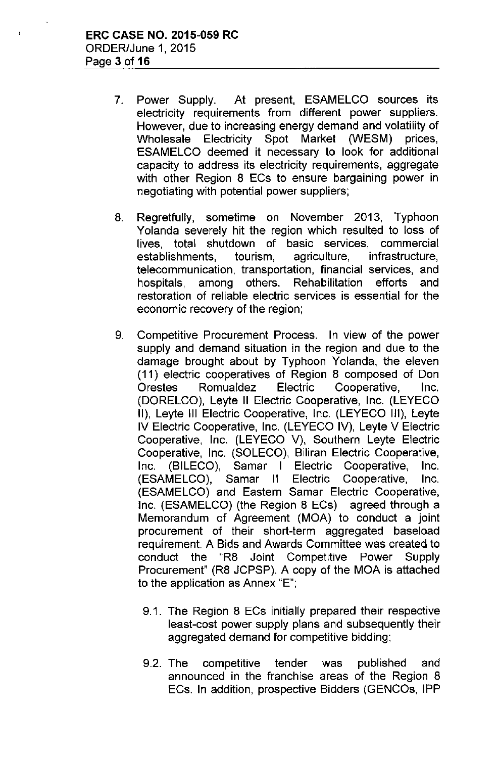$\mathbf{r}$ 

- 7. Power Supply. At present, ESAMELCO sources its electricity requirements from different power suppliers. However, due to increasing energy demand and volatility of Wholesale Electricity Spot Market (WESM) prices, ESAMELCO deemed it necessary to look for additional capacity to address its electricity requirements, aggregate with other Region 8 ECs to ensure bargaining power in negotiating with potential power suppliers;
- 8. Regretfully, sometime on November 2013, Typhoon Yolanda severely hit the region which resulted to loss of lives, total shutdown of basic services, commercial establishments, tourism, agriculture, infrastructure, telecommunication, transportation, financial services, and hospitals, among others. Rehabilitation efforts and restoration of reliable electric services is essential for the economic recovery of the region;
- 9. Competitive Procurement Process. In view of the power supply and demand situation in the region and due to the damage brought about by Typhoon Yolanda, the eleven (11) electric cooperatives of Region 8 composed of Don Orestes Romualdez Electric Cooperative, Inc. (DORELCO), Leyte II Electric Cooperative, Inc. (LEYECO II), Leyte III Electric Cooperative, Inc. (LEYECO III), Leyte IV Electric Cooperative, Inc. (LEYECO IV), Leyte V Electric Cooperative, Inc. (LEYECO V), Southern Leyte Electric Cooperative, Inc. (SOLECO), Biliran Electric Cooperative, Inc. (BILECO), Samar I Electric Cooperative, Inc. (ESAMELCO), Samar II Electric Cooperative, Inc. (ESAMELCO) and Eastern Samar Electric Cooperative, Inc. (ESAMELCO) (the Region 8 ECs) agreed through a Memorandum of Agreement (MOA) to conduct a joint procurement of their short-term aggregated baseload requirement. A Bids and Awards Committee was created to conduct the "R8 Joint Competitive Power Supply Procurement" (R8 JCPSP). A copy of the MOA is attached to the application as Annex "E";
	- 9.1. The Region 8 ECs initially prepared their respective least-cost power supply plans and subsequently their aggregated demand for competitive bidding;
	- 9.2. The competitive tender was published and announced in the franchise areas of the Region 8 ECs. In addition, prospective Bidders (GENCOs, IPP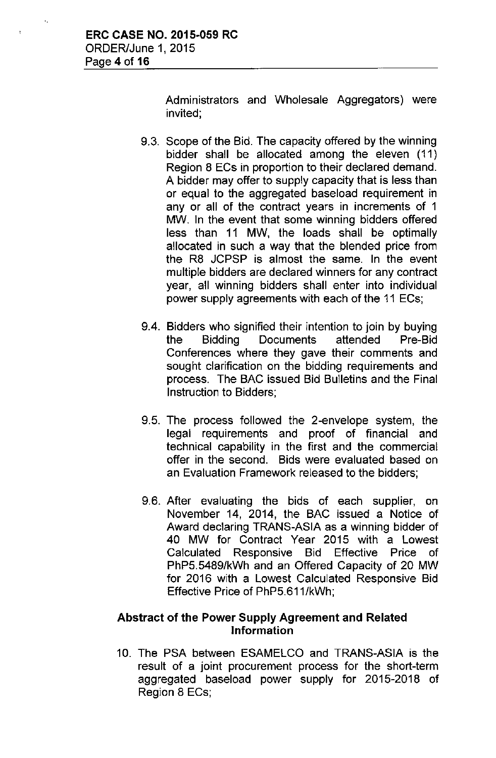Administrators and Wholesale Aggregators) were invited;

- 9.3. Scope of the Bid. The capacity offered by the winning bidder shall be allocated among the eleven (11) Region 8 ECs in proportion to their declared demand. A bidder may offer to supply capacity that is less than or equal to the aggregated baseload requirement in any or all of the contract years in increments of 1 MW. In the event that some winning bidders offered less than 11 MW, the loads shall be optimally allocated in such a way that the blended price from the R8 JCPSP is almost the same. In the event multiple bidders are declared winners for any contract year, all winning bidders shall enter into individual power supply agreements with each of the 11 ECs;
- 9.4. Bidders who signified their intention to join by buying the Bidding Documents attended Pre-Bid Conferences where they gave their comments and sought clarification on the bidding requirements and process. The BAC issued Bid Bulletins and the Final Instruction to Bidders;
- 9.5. The process followed the 2-envelope system, the legal requirements and proof of financial and technical capability in the first and the commercial offer in the second. Bids were evaluated based on an Evaluation Framework released to the bidders;
- 9.6. After evaluating the bids of each supplier, on November 14, 2014, the BAC issued a Notice of Award declaring TRANS-ASIA as a winning bidder of 40 MW for Contract Year 2015 with a Lowest Calculated Responsive Bid Effective Price of PhP5.5489/kWh and an Offered Capacity of 20 MW for 2016 with a Lowest Calculated Responsive Bid Effective Price of PhP5.611/kWh;

## Abstract of the Power Supply Agreement and Related Information

10. The PSA between ESAMELCO and TRANS-ASIA is the result of a joint procurement process for the short-term aggregated baseload power supply for 2015-2018 of Region 8 ECs;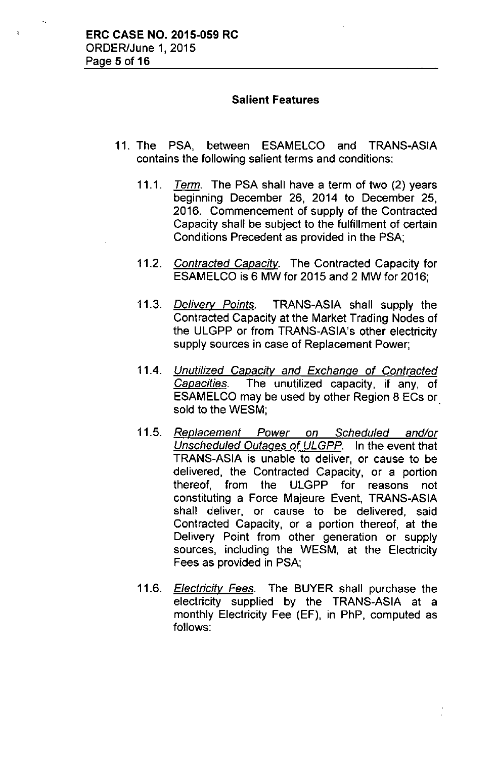# **Salient Features**

- 11. The PSA, between ESAMELCO and TRANS-ASIA contains the following salient terms and conditions:
	- *11.1. Tenn.* The PSA shall have a term of two (2) years beginning December 26, 2014 to December 25, 2016. Commencement of supply of the Contracted Capacity shall be subject to the fulfillment of certain Conditions Precedent as provided in the PSA;
	- *11.2. Contracted Capacitv.* The Contracted Capacity for ESAMELCO is 6 MW for 2015 and 2 MW for 2016;
	- *11.3. Delivery Points.* TRANS-ASIA shall supply the Contracted Capacity at the Market Trading Nodes of the ULGPP or from TRANS-ASIA's other electricity supply sources in case of Replacement Power;
	- *11.4. Unutilized Capacity and Exchange of Contracted Capacities.* The unutilized capacity, if any, of ESAMELCO may be used by other Region 8 ECs or sold to the WESM;
	- *11.5. Replacement Power on Scheduled and/or Unscheduled Outages of ULGPP.* In the event that TRANS-ASIA is unable to deliver, or cause to be delivered, the Contracted Capacity, or a portion thereof, from the ULGPP for reasons not constituting a Force Majeure Event, TRANS-ASIA shall deliver, or cause to be delivered, said Contracted Capacity, or a portion thereof, at the Delivery Point from other generation or supply sources, including the WESM, at the Electricity Fees as provided in PSA;
	- *11.6. Electricity Fees.* The BUYER shall purchase the electricity supplied by the TRANS-ASIA at a monthly Electricity Fee (EF), in PhP, computed as follows: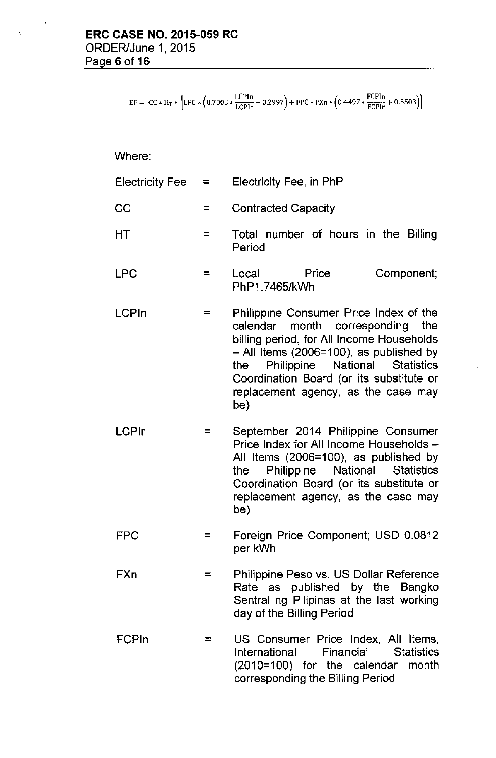$EF = CC * H_T * [LPC * (0.7003 * \frac{LCPIn}{LCPIr} + 0.2997) + FPC * FXn * (0.4497 * \frac{FCPIn}{FCPIr} + 0.5503)]$ 

Where:

 $\hat{\Delta}$ 

| Electricity Fee | $=$ | Electricity Fee, in PhP                                                                                                                                                                                                                                                                               |  |  |
|-----------------|-----|-------------------------------------------------------------------------------------------------------------------------------------------------------------------------------------------------------------------------------------------------------------------------------------------------------|--|--|
| CC              | $=$ | <b>Contracted Capacity</b>                                                                                                                                                                                                                                                                            |  |  |
| НT              | $=$ | Total number of hours in the Billing<br>Period                                                                                                                                                                                                                                                        |  |  |
| <b>LPC</b>      | $=$ | Component;<br>Local<br>Price<br>PhP1.7465/kWh                                                                                                                                                                                                                                                         |  |  |
| <b>LCPIn</b>    | =   | Philippine Consumer Price Index of the<br>calendar month corresponding the<br>billing period, for All Income Households<br>- All Items (2006=100), as published by<br>Philippine National Statistics<br>the<br>Coordination Board (or its substitute or<br>replacement agency, as the case may<br>be) |  |  |
| <b>LCPIr</b>    | =   | September 2014 Philippine Consumer<br>Price Index for All Income Households -<br>All Items (2006=100), as published by<br>Philippine<br>National<br><b>Statistics</b><br>the<br>Coordination Board (or its substitute or<br>replacement agency, as the case may<br>be)                                |  |  |
| <b>FPC</b>      |     | Foreign Price Component; USD 0.0812<br>per kWh                                                                                                                                                                                                                                                        |  |  |
| FXn             | $=$ | Philippine Peso vs. US Dollar Reference<br>Rate as published by the Bangko<br>Sentral ng Pilipinas at the last working<br>day of the Billing Period                                                                                                                                                   |  |  |
| <b>FCPIn</b>    | =   | US Consumer Price Index, All Items,<br>Financial Statistics<br>International<br>(2010=100) for the calendar month<br>corresponding the Billing Period                                                                                                                                                 |  |  |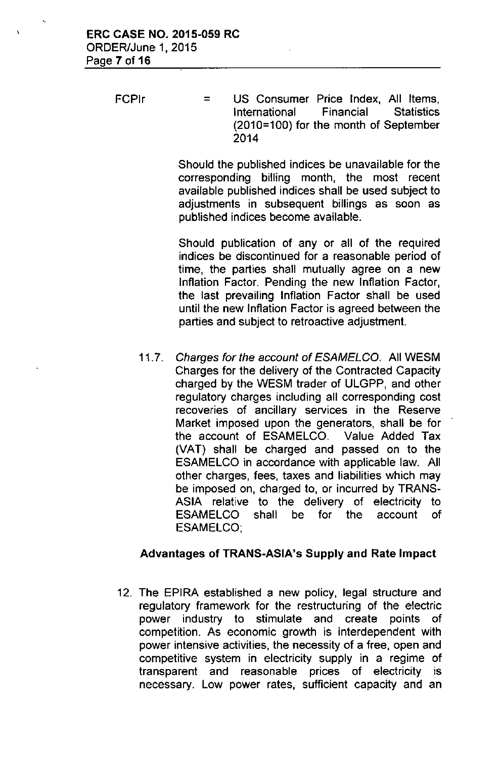FCPIr = US Consumer Price Index, All Items, International Financial Statistics (2010=100) for the month of September 2014

> Should the published indices be unavailable for the corresponding billing month, the most recent available published indices shall be used subject to adjustments in subsequent billings as soon as published indices become available.

> Should publication of any or all of the required indices be discontinued for a reasonable period of time, the parties shall mutually agree on a new Inflation Factor. Pending the new Inflation Factor, the last prevailing Inflation Factor shall be used until the new Inflation Factor is agreed between the parties and subject to retroactive adjustment.

*11.7. Charges for the account of ESAMELCO.* All WESM Charges for the delivery of the Contracted Capacity charged by the WESM trader of ULGPP, and other regulatory charges including all corresponding cost recoveries of ancillary services in the Reserve Market imposed upon the generators, shall be for the account of ESAMELCO. Value Added Tax (VAT) shall be charged and passed on to the ESAMELCO in accordance with applicable law. All other charges, fees, taxes and liabilities which may be imposed on, charged to, or incurred by TRANS-ASIA relative to the delivery of electricity to ESAMELCO shall be for the account of ESAMELCO;

### Advantages of **TRANS-ASIA's Supply** and **Rate Impact**

12. The EPIRA established a new policy, legal structure and regulatory framework for the restructuring of the electric power industry to stimulate and create points of competition. As economic growth is interdependent with power intensive activities, the necessity of a free, open and competitive system in electricity supply in a regime of transparent and reasonable prices of electricity is necessary. Low power rates, sufficient capacity and an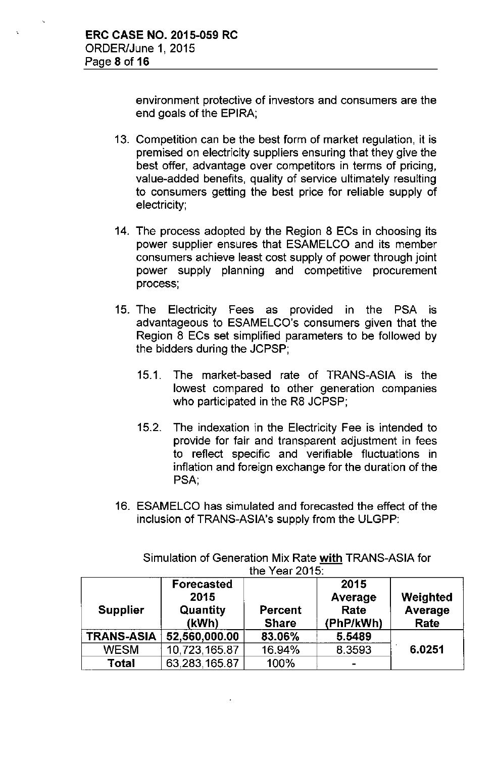environment protective of investors and consumers are the end goals of the EPIRA;

- 13. Competition can be the best form of market regulation, it is premised on electricity suppliers ensuring that they give the best offer, advantage over competitors in terms of pricing, value-added benefits, quality of service ultimately resulting to consumers getting the best price for reliable supply of electricity;
- 14. The process adopted by the Region 8 ECs in choosing its power supplier ensures that ESAMELCO and its member consumers achieve least cost supply of power through joint power supply planning and competitive procurement process;
- 15. The Electricity Fees as provided in the PSA is advantageous to ESAMELCO's consumers given that the Region 8 ECs set simplified parameters to be followed by the bidders during the JCPSP;
	- 15.1. The market-based rate of TRANS-ASIA is the lowest compared to other generation companies who participated in the R8 JCPSP;
	- 15.2. The indexation in the Electricity Fee is intended to provide for fair and transparent adjustment in fees to reflect specific and verifiable fluctuations in inflation and foreign exchange for the duration of the PSA,
- 16. ESAMELCO has simulated and forecasted the effect of the inclusion of TRANS-ASIA's supply from the ULGPP:

| UIC TCAI ZUTO.    |                                                |                                |                                      |                             |  |
|-------------------|------------------------------------------------|--------------------------------|--------------------------------------|-----------------------------|--|
| <b>Supplier</b>   | <b>Forecasted</b><br>2015<br>Quantity<br>(kWh) | <b>Percent</b><br><b>Share</b> | 2015<br>Average<br>Rate<br>(PhP/kWh) | Weighted<br>Average<br>Rate |  |
| <b>TRANS-ASIA</b> | 52,560,000.00                                  | 83.06%                         | 5.5489                               |                             |  |
| <b>WESM</b>       | 10,723,165.87                                  | 16.94%                         | 8.3593                               | 6.0251                      |  |
| Total             | 63,283,165.87                                  | 100%                           | -                                    |                             |  |

Simulation of Generation Mix Rate with TRANS-ASIA for  $t_{\text{hot}}$   $\sqrt{2\pi r}$  2015: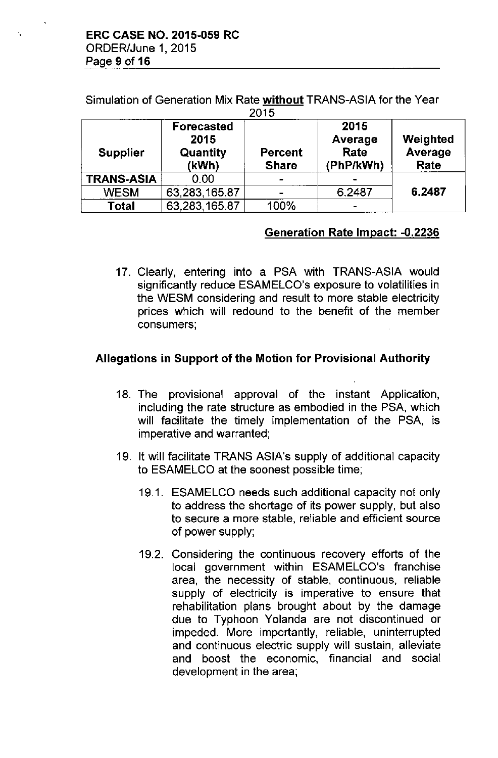Simulation of Generation Mix Rate without TRANS-ASIA for the Year  $2045$ 

| ט ו ט             |                                                |                                |                                      |                             |  |
|-------------------|------------------------------------------------|--------------------------------|--------------------------------------|-----------------------------|--|
| <b>Supplier</b>   | <b>Forecasted</b><br>2015<br>Quantity<br>(kWh) | <b>Percent</b><br><b>Share</b> | 2015<br>Average<br>Rate<br>(PhP/kWh) | Weighted<br>Average<br>Rate |  |
| <b>TRANS-ASIA</b> | 0.00                                           |                                |                                      |                             |  |
| <b>WESM</b>       | 63,283,165.87                                  |                                | 6.2487                               | 6.2487                      |  |
| <b>Total</b>      | 63,283,165.87                                  | 100%                           |                                      |                             |  |

# Generation Rate Impact: -0.2236

17. Clearly, entering into a PSA with TRANS-ASIA would significantly reduce ESAMELCO's exposure to volatilities in the WESM considering and result to more stable electricity prices which will redound to the benefit of the member consumers;

# Allegations in Support of the Motion for Provisional Authority

- 18. The provisional approval of the instant Application, including the rate structure as embodied in the PSA, which will facilitate the timely implementation of the PSA, is imperative and warranted;
- 19. It will facilitate TRANS ASIA's supply of additional capacity to ESAMELCO at the soonest possible time;
	- 19.1. ESAMELCO needs such additional capacity not only to address the shortage of its power supply, but also to secure a more stable, reliable and efficient source of power supply;
	- 19.2. Considering the continuous recovery efforts of the local government within ESAMELCO's franchise area, the necessity of stable, continuous, reliable supply of electricity is imperative to ensure that rehabilitation plans brought about by the damage due to Typhoon Yolanda are not discontinued or impeded. More importantly, reliable, uninterrupted and continuous electric supply will sustain, alleviate and boost the economic, financial and social development in the area;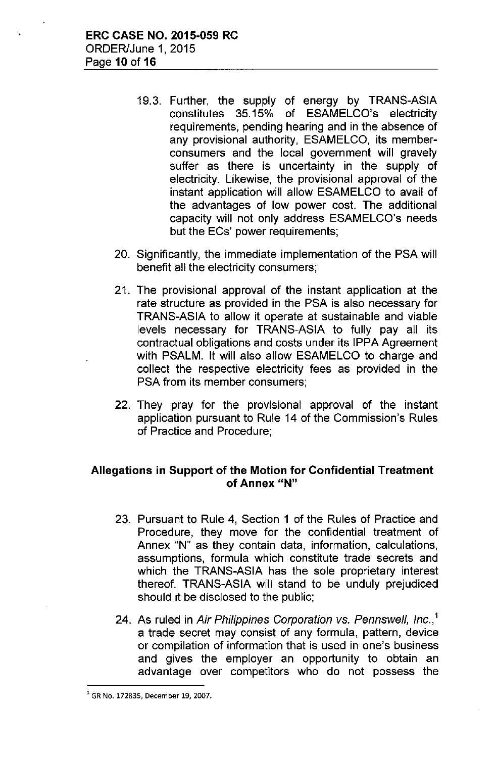- 19.3. Further, the supply of energy by TRANS-ASIA constitutes 35.15% of ESAMELCO's electricity requirements, pending hearing and in the absence of any provisional authority, ESAMELCO, its memberconsumers and the local government will gravely suffer as there is uncertainty in the supply of electricity. Likewise, the provisional approval of the instant application will allow ESAMELCO to avail of the advantages of low power cost. The additional capacity will not only address ESAMELCO's needs but the ECs' power requirements;
- 20. Significantly, the immediate implementation of the PSA will benefit all the electricity consumers;
- 21. The provisional approval of the instant application at the rate structure as provided in the PSA is also necessary for TRANS-ASIA to allow it operate at sustainable and viable levels necessary for TRANS-ASIA to fully pay all its contractual obligations and costs under its IPPA Agreement with PSALM. It will also allow ESAMELCO to charge and collect the respective electricity fees as provided in the PSA from its member consumers;
- 22. They pray for the provisional approval of the instant application pursuant to Rule 14 of the Commission's Rules of Practice and Procedure;

### **Allegations in Support of the Motion for Confidential Treatment of Annex "N"**

- 23. Pursuant to Rule 4, Section 1 of the Rules of Practice and Procedure, they move for the confidential treatment of Annex "N" as they contain data, information, calculations, assumptions, formula which constitute trade secrets and which the TRANS-ASIA has the sole proprietary interest thereof. TRANS-ASIA will stand to be unduly prejudiced should it be disclosed to the public;
- 24. As ruled in *Air Philippines Corporation* vs. *Pennswell, Inc.,'* a trade secret may consist of any formula, pattern, device or compilation of information that is used in one's business and gives the employer an opportunity to obtain an advantage over competitors who do not possess the

**<sup>1</sup> GR No. 172835, December 19, 2007.**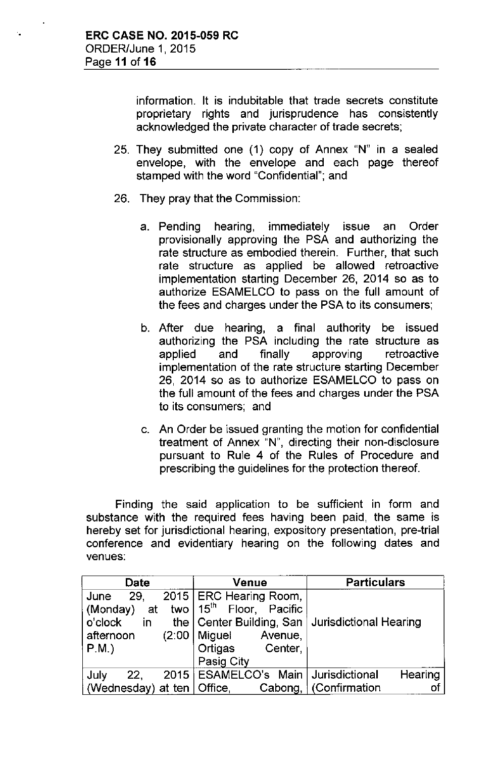information. It is indubitable that trade secrets constitute proprietary rights and jurisprudence has consistently acknowledged the private character of trade secrets;

- 25. They submitted one (1) copy of Annex "N" in a sealed envelope, with the envelope and each page thereof stamped with the word "Confidential"; and
- 26. They pray that the Commission:
	- a. Pending hearing, immediately issue an Order provisionally approving the PSA and authorizing the rate structure as embodied therein. Further, that such rate structure as applied be allowed retroactive implementation starting December 26, 2014 so as to authorize ESAMELCO to pass on the full amount of the fees and charges under the PSA to its consumers;
	- b. After due hearing, a final authority be issued authorizing the PSA including the rate structure as applied and finally approving retroactive implementation of the rate structure starting December 26, 2014 so as to authorize ESAMELCO to pass on the full amount of the fees and charges under the PSA to its consumers; and
	- c. An Order be issued granting the motion for confidential treatment of Annex "N", directing their non-disclosure pursuant to Rule 4 of the Rules of Procedure and prescribing the guidelines for the protection thereof.

Finding the said application to be sufficient in form and substance with the required fees having been paid, the same is hereby set for jurisdictional hearing, expository presentation, pre-trial conference and evidentiary hearing on the following dates and venues:

| Date                         | Venue                                               | <b>Particulars</b> |  |
|------------------------------|-----------------------------------------------------|--------------------|--|
| 29.<br>June                  | 2015   ERC Hearing Room,                            |                    |  |
| (Monday)<br>at               | two $15th$ Floor, Pacific                           |                    |  |
| o'clock<br>in.               | the   Center Building, San   Jurisdictional Hearing |                    |  |
| (2:00)<br>afternoon          | Miguel<br>Avenue,                                   |                    |  |
| $P.M.$ )                     | Ortigas<br>Center,                                  |                    |  |
|                              | Pasig City                                          |                    |  |
| July<br>22.                  | 2015   ESAMELCO's Main   Jurisdictional             | Hearing            |  |
| (Wednesday) at ten   Office, | Cabong,                                             | Confirmation<br>оl |  |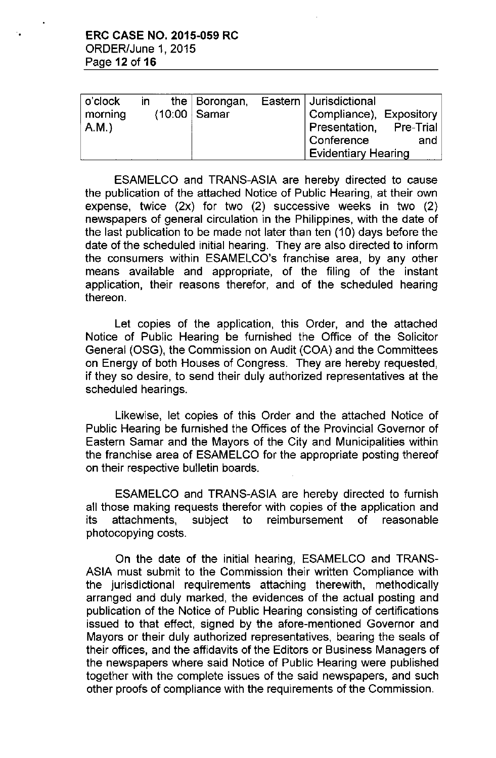| o'clock | in | the $\vert$ Borongan,       | Eastern   Jurisdictional |     |
|---------|----|-----------------------------|--------------------------|-----|
| morning |    | $(10:00 \mid \text{Samar})$ | Compliance), Expository  |     |
| A.M.    |    |                             | Presentation, Pre-Trial  |     |
|         |    |                             | Conference               | and |
|         |    |                             | Evidentiary Hearing      |     |

ESAMELCO and TRANS-ASIA are hereby directed to cause the publication of the attached Notice of Public Hearing, at their own expense, twice (2x) for two (2) successive weeks in two (2) newspapers of general circulation in the Philippines, with the date of the last publication to be made not later than ten (10) days before the date of the scheduled initial hearing, They are also directed to inform the consumers within ESAMELCO's franchise area, by any other means available and appropriate, of the filing of the instant application, their reasons therefor, and of the scheduled hearing thereon,

Let copies of the application, this Order, and the attached Notice of Public Hearing be furnished the Office of the Solicitor General (OSG), the Commission on Audit (COA) and the Committees on Energy of both Houses of Congress, They are hereby requested, if they so desire, to send their duly authorized representatives at the scheduled hearings,

Likewise, let copies of this Order and the attached Notice of Public Hearing be furnished the Offices of the Provincial Governor of Eastern Samar and the Mayors of the City and Municipalities within the franchise area of ESAMELCO for the appropriate posting thereof on their respective bulletin boards,

ESAMELCO and TRANS-ASIA are hereby directed to furnish all those making requests therefor with copies of the application and its attachments, subject to reimbursement of reasonable photocopying costs,

On the date of the initial hearing, ESAMELCO and TRANS-ASIA must submit to the Commission their written Compliance with the jurisdictional requirements attaching therewith, methodically arranged and duly marked, the evidences of the actual posting and publication of the Notice of Public Hearing consisting of certifications issued to that effect, signed by the afore-mentioned Governor and Mayors or their duly authorized representatives, bearing the seals of their offices, and the affidavits of the Editors or Business Managers of the newspapers where said Notice of Public Hearing were published together with the complete issues of the said newspapers, and such other proofs of compliance with the requirements of the Commission,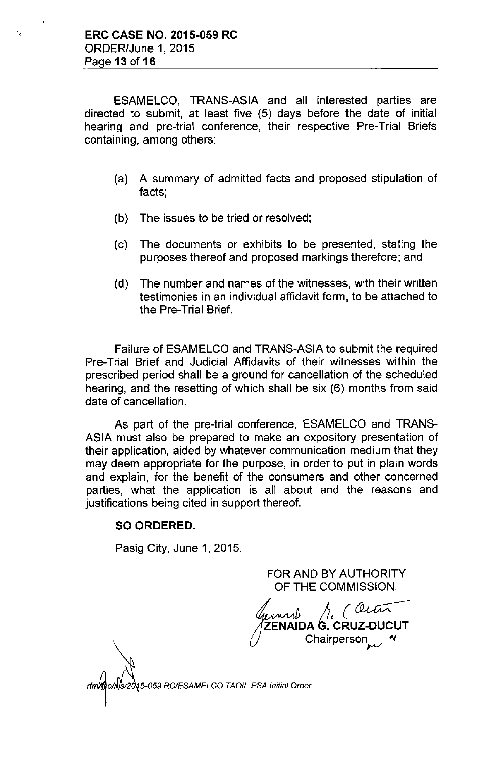ESAMELCO, TRANS-ASIA and all interested parties are directed to submit, at least five (5) days before the date of initial hearing and pre-trial conference, their respective Pre-Trial Briefs containing, among others:

- (a) A summary of admitted facts and proposed stipulation of facts;
- (b) The issues to be tried or resolved;
- (c) The documents or exhibits to be presented, stating the purposes thereof and proposed markings therefore; and
- (d) The number and names of the witnesses, with their written testimonies in an individual affidavit form, to be attached to the Pre-Trial Brief.

Failure of ESAMELCO and TRANS-ASIA to submit the required Pre-Trial Brief and Judicial Affidavits of their witnesses within the prescribed period shall be a ground for cancellation of the scheduled hearing, and the resetting of which shall be six (6) months from said date of cancellation.

As part of the pre-trial conference, ESAMELCO and TRANS-ASIA must also be prepared to make an expository presentation of their application, aided by whatever communication medium that they may deem appropriate for the purpose, in order to put in plain words and explain, for the benefit of the consumers and other concerned parties, what the application is all about and the reasons and justifications being cited in support thereof.

### **SO ORDERED.**

Pasig City, June 1, 2015.

FOR AND BY AUTHORITY OF THE COMMISSION:

 $\mu$ und  $\mu$  (determinent Chairperson

*rfm~o/,Ifsa 5-059 RC/ESAMELCO TAOIL PSA Initial Order*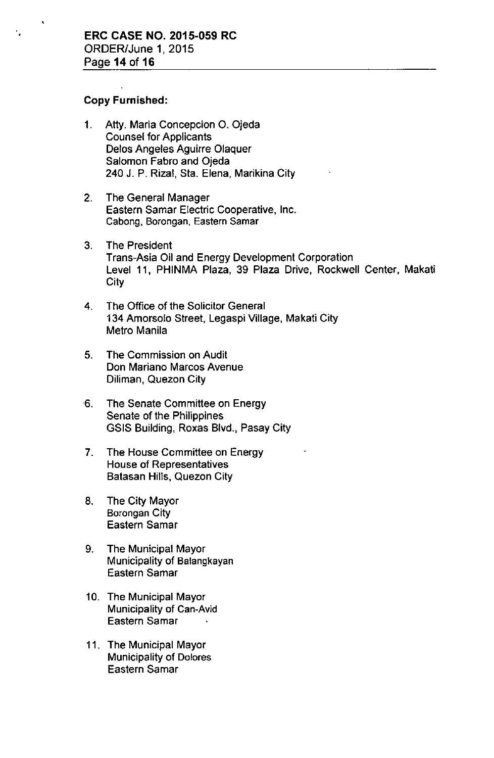#### **Copy Furnished:**

- 1. Atty. Maria Concepcion O. Ojeda Counsel for Applicants Delos Angeles Aguirre Olaquer Salomon Fabro and Ojeda 240 J. P. Rizal, Sta. Elena, Marikina City
- 2. The General Manager Eastern Samar Electric Cooperative, Inc. Cabong, Borongan, Eastern Samar
- 3. The President Trans-Asia Oil and Energy Development Corporation Level 11, PHINMA Plaza, 39 Plaza Drive, Rockwell Center, Makati City
- 4. The Office of the Solicitor General 134 Amorsolo Street, Legaspi Village, Makati City Metro Manila
- 5. The Commission on Audit Don Mariano Marcos Avenue Diliman, Quezon City
- ,6. The Senate Committee on Energy Senate of the Philippines GSIS Building, Roxas Blvd., Pasay City
- 7. The House Committee on Energy House of Representatives Batasan Hills, Quezon City
- 8. The City Mayor Barongan City Eastern Samar
- 9. The Municipal Mayor Municipality of Balangkayan Eastern Samar
- 10. The Municipal Mayor Municipality of Can-Avid Eastern Samar
- 11. The Municipal Mayor Municipality of Dolores Eastern Samar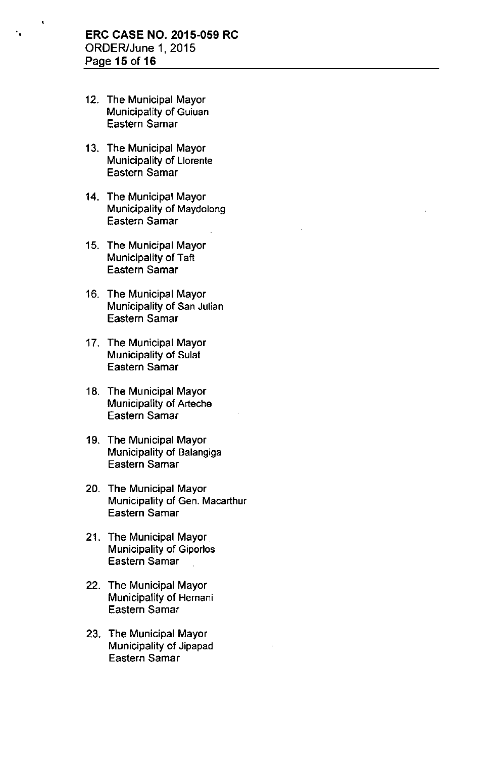- 12. The Municipal Mayor Municipality of Guiuan Eastern Samar
- 13. The Municipal Mayor Municipality of Llorente Eastern Samar
- 14. The Municipal Mayor Municipality of Maydolong Eastern Samar
- 15. The Municipal Mayor Municipality of Taft Eastern Samar
- 16. The Municipal Mayor Municipality of San Julian Eastern Samar
- 17. The Municipal Mayor Municipality of Sulat Eastern Samar
- 18. The Municipal Mayor Municipality of Arteche Eastern Samar
- 19. The Municipal Mayor Municipality of Balangiga Eastern Samar
- 20. The Municipal Mayor Municipality of Gen. Macarthur Eastern Samar
- 21. The Municipal Mayor Municipality of Giporlos Eastern Samar
- 22. The Municipal Mayor Municipality of Hernani Eastern Samar
- 23. The Municipal Mayor Municipality of Jipapad Eastern Samar